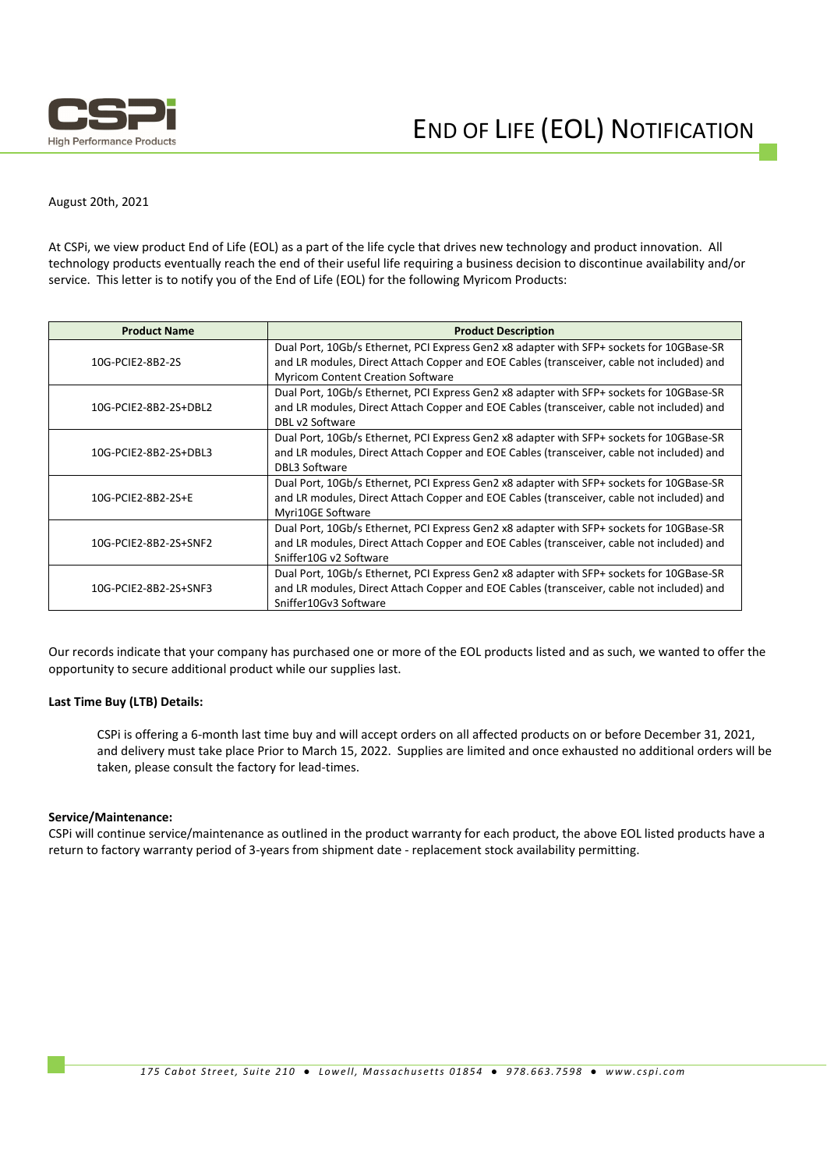

## August 20th, 2021

At CSPi, we view product End of Life (EOL) as a part of the life cycle that drives new technology and product innovation. All technology products eventually reach the end of their useful life requiring a business decision to discontinue availability and/or service. This letter is to notify you of the End of Life (EOL) for the following Myricom Products:

| <b>Product Name</b>   | <b>Product Description</b>                                                                |  |
|-----------------------|-------------------------------------------------------------------------------------------|--|
| 10G-PCIE2-8B2-2S      | Dual Port, 10Gb/s Ethernet, PCI Express Gen2 x8 adapter with SFP+ sockets for 10GBase-SR  |  |
|                       | and LR modules, Direct Attach Copper and EOE Cables (transceiver, cable not included) and |  |
|                       | <b>Myricom Content Creation Software</b>                                                  |  |
| 10G-PCIE2-8B2-2S+DBL2 | Dual Port, 10Gb/s Ethernet, PCI Express Gen2 x8 adapter with SFP+ sockets for 10GBase-SR  |  |
|                       | and LR modules, Direct Attach Copper and EOE Cables (transceiver, cable not included) and |  |
|                       | DBL v2 Software                                                                           |  |
| 10G-PCIE2-8B2-2S+DBL3 | Dual Port, 10Gb/s Ethernet, PCI Express Gen2 x8 adapter with SFP+ sockets for 10GBase-SR  |  |
|                       | and LR modules, Direct Attach Copper and EOE Cables (transceiver, cable not included) and |  |
|                       | <b>DBL3 Software</b>                                                                      |  |
| 10G-PCIE2-8B2-2S+E    | Dual Port, 10Gb/s Ethernet, PCI Express Gen2 x8 adapter with SFP+ sockets for 10GBase-SR  |  |
|                       | and LR modules, Direct Attach Copper and EOE Cables (transceiver, cable not included) and |  |
|                       | Myri10GE Software                                                                         |  |
| 10G-PCIE2-8B2-2S+SNF2 | Dual Port, 10Gb/s Ethernet, PCI Express Gen2 x8 adapter with SFP+ sockets for 10GBase-SR  |  |
|                       | and LR modules, Direct Attach Copper and EOE Cables (transceiver, cable not included) and |  |
|                       | Sniffer10G v2 Software                                                                    |  |
| 10G-PCIE2-8B2-2S+SNF3 | Dual Port, 10Gb/s Ethernet, PCI Express Gen2 x8 adapter with SFP+ sockets for 10GBase-SR  |  |
|                       | and LR modules, Direct Attach Copper and EOE Cables (transceiver, cable not included) and |  |
|                       | Sniffer10Gv3 Software                                                                     |  |

Our records indicate that your company has purchased one or more of the EOL products listed and as such, we wanted to offer the opportunity to secure additional product while our supplies last.

## **Last Time Buy (LTB) Details:**

CSPi is offering a 6‐month last time buy and will accept orders on all affected products on or before December 31, 2021, and delivery must take place Prior to March 15, 2022. Supplies are limited and once exhausted no additional orders will be taken, please consult the factory for lead‐times.

## **Service/Maintenance:**

CSPi will continue service/maintenance as outlined in the product warranty for each product, the above EOL listed products have a return to factory warranty period of 3‐years from shipment date ‐ replacement stock availability permitting.